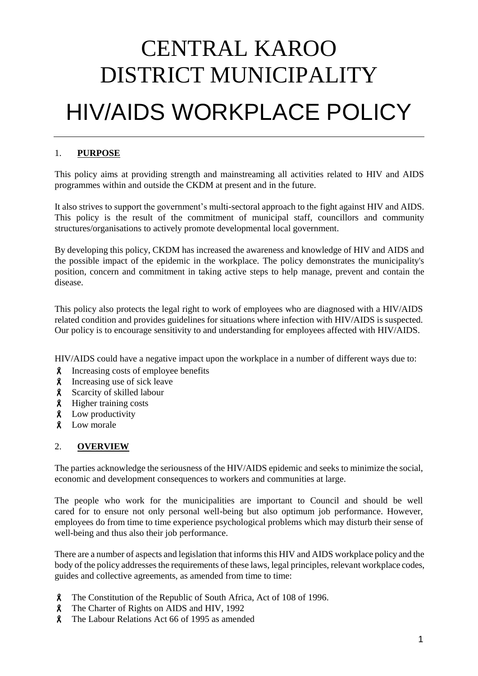# CENTRAL KAROO DISTRICT MUNICIPALITY HIV/AIDS WORKPLACE POLICY

# 1. **PURPOSE**

This policy aims at providing strength and mainstreaming all activities related to HIV and AIDS programmes within and outside the CKDM at present and in the future.

It also strives to support the government's multi-sectoral approach to the fight against HIV and AIDS. This policy is the result of the commitment of municipal staff, councillors and community structures/organisations to actively promote developmental local government.

By developing this policy, CKDM has increased the awareness and knowledge of HIV and AIDS and the possible impact of the epidemic in the workplace. The policy demonstrates the municipality's position, concern and commitment in taking active steps to help manage, prevent and contain the disease.

This policy also protects the legal right to work of employees who are diagnosed with a HIV/AIDS related condition and provides guidelines for situations where infection with HIV/AIDS is suspected. Our policy is to encourage sensitivity to and understanding for employees affected with HIV/AIDS.

HIV/AIDS could have a negative impact upon the workplace in a number of different ways due to:

- Increasing costs of employee benefits
- Increasing use of sick leave
- **8** Scarcity of skilled labour
- Higher training costs
- **8** Low productivity
- **8** Low morale

# 2. **OVERVIEW**

The parties acknowledge the seriousness of the HIV/AIDS epidemic and seeks to minimize the social, economic and development consequences to workers and communities at large.

The people who work for the municipalities are important to Council and should be well cared for to ensure not only personal well-being but also optimum job performance. However, employees do from time to time experience psychological problems which may disturb their sense of well-being and thus also their job performance.

There are a number of aspects and legislation that informs this HIV and AIDS workplace policy and the body of the policy addresses the requirements of these laws, legal principles, relevant workplace codes, guides and collective agreements, as amended from time to time:

- The Constitution of the Republic of South Africa, Act of 108 of 1996.
- **8** The Charter of Rights on AIDS and HIV, 1992
- The Labour Relations Act 66 of 1995 as amended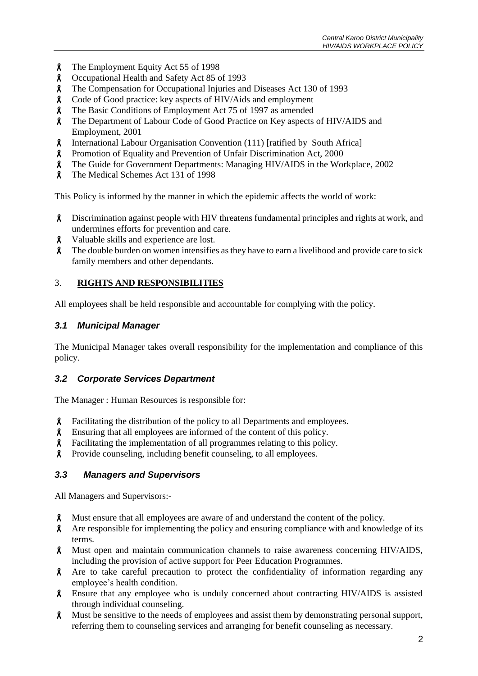- **8** The Employment Equity Act 55 of 1998
- Occupational Health and Safety Act 85 of 1993
- The Compensation for Occupational Injuries and Diseases Act 130 of 1993
- Code of Good practice: key aspects of HIV/Aids and employment
- The Basic Conditions of Employment Act 75 of 1997 as amended
- The Department of Labour Code of Good Practice on Key aspects of HIV/AIDS and Employment, 2001
- International Labour Organisation Convention (111) [ratified by South Africa]
- Promotion of Equality and Prevention of Unfair Discrimination Act, 2000
- The Guide for Government Departments: Managing HIV/AIDS in the Workplace, 2002
- The Medical Schemes Act 131 of 1998

This Policy is informed by the manner in which the epidemic affects the world of work:

- Discrimination against people with HIV threatens fundamental principles and rights at work, and undermines efforts for prevention and care.
- Valuable skills and experience are lost.
- **A** The double burden on women intensifies as they have to earn a livelihood and provide care to sick family members and other dependants.

# 3. **RIGHTS AND RESPONSIBILITIES**

All employees shall be held responsible and accountable for complying with the policy.

# *3.1 Municipal Manager*

The Municipal Manager takes overall responsibility for the implementation and compliance of this policy.

# *3.2 Corporate Services Department*

The Manager : Human Resources is responsible for:

- **A** Facilitating the distribution of the policy to all Departments and employees.
- Ensuring that all employees are informed of the content of this policy.
- Facilitating the implementation of all programmes relating to this policy.
- Provide counseling, including benefit counseling, to all employees.

# *3.3 Managers and Supervisors*

All Managers and Supervisors:-

- Must ensure that all employees are aware of and understand the content of the policy.
- Are responsible for implementing the policy and ensuring compliance with and knowledge of its terms.
- Must open and maintain communication channels to raise awareness concerning HIV/AIDS, including the provision of active support for Peer Education Programmes.
- Are to take careful precaution to protect the confidentiality of information regarding any employee's health condition.
- Ensure that any employee who is unduly concerned about contracting HIV/AIDS is assisted through individual counseling.
- Must be sensitive to the needs of employees and assist them by demonstrating personal support, referring them to counseling services and arranging for benefit counseling as necessary.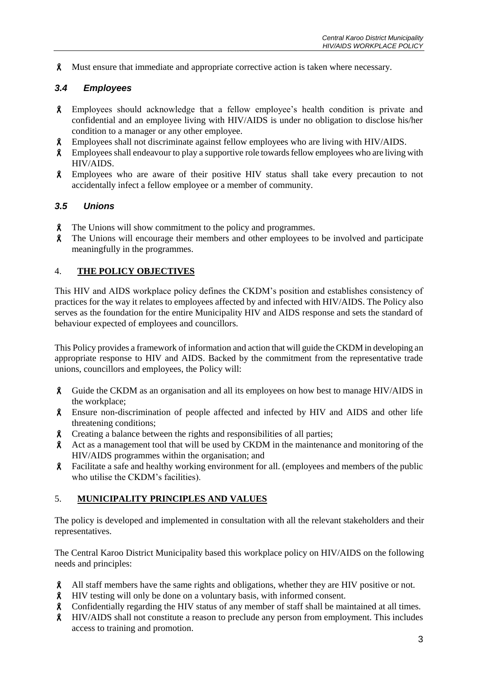Must ensure that immediate and appropriate corrective action is taken where necessary.

### *3.4 Employees*

- Employees should acknowledge that a fellow employee's health condition is private and confidential and an employee living with HIV/AIDS is under no obligation to disclose his/her condition to a manager or any other employee.
- Employees shall not discriminate against fellow employees who are living with HIV/AIDS.
- **8** Employees shall endeavour to play a supportive role towards fellow employees who are living with HIV/AIDS.
- Employees who are aware of their positive HIV status shall take every precaution to not accidentally infect a fellow employee or a member of community.

#### *3.5 Unions*

- **A** The Unions will show commitment to the policy and programmes.
- The Unions will encourage their members and other employees to be involved and participate meaningfully in the programmes.

#### 4. **THE POLICY OBJECTIVES**

This HIV and AIDS workplace policy defines the CKDM's position and establishes consistency of practices for the way it relates to employees affected by and infected with HIV/AIDS. The Policy also serves as the foundation for the entire Municipality HIV and AIDS response and sets the standard of behaviour expected of employees and councillors.

This Policy provides a framework of information and action that will guide the CKDM in developing an appropriate response to HIV and AIDS. Backed by the commitment from the representative trade unions, councillors and employees, the Policy will:

- Guide the CKDM as an organisation and all its employees on how best to manage HIV/AIDS in the workplace;
- Ensure non-discrimination of people affected and infected by HIV and AIDS and other life threatening conditions;
- Creating a balance between the rights and responsibilities of all parties;
- Act as a management tool that will be used by CKDM in the maintenance and monitoring of the HIV/AIDS programmes within the organisation; and
- Facilitate a safe and healthy working environment for all. (employees and members of the public who utilise the CKDM's facilities).

#### 5. **MUNICIPALITY PRINCIPLES AND VALUES**

The policy is developed and implemented in consultation with all the relevant stakeholders and their representatives.

The Central Karoo District Municipality based this workplace policy on HIV/AIDS on the following needs and principles:

- All staff members have the same rights and obligations, whether they are HIV positive or not.
- HIV testing will only be done on a voluntary basis, with informed consent.
- Confidentially regarding the HIV status of any member of staff shall be maintained at all times.
- HIV/AIDS shall not constitute a reason to preclude any person from employment. This includes access to training and promotion.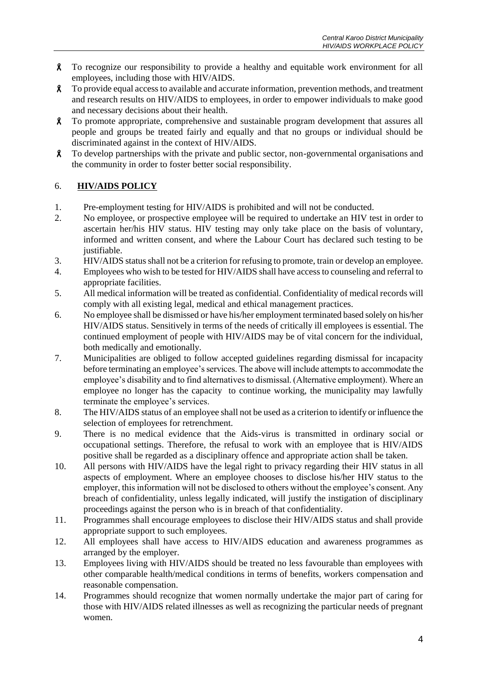- To recognize our responsibility to provide a healthy and equitable work environment for all employees, including those with HIV/AIDS.
- To provide equal access to available and accurate information, prevention methods, and treatment and research results on HIV/AIDS to employees, in order to empower individuals to make good and necessary decisions about their health.
- To promote appropriate, comprehensive and sustainable program development that assures all people and groups be treated fairly and equally and that no groups or individual should be discriminated against in the context of HIV/AIDS.
- $\lambda$  To develop partnerships with the private and public sector, non-governmental organisations and the community in order to foster better social responsibility.

# 6. **HIV/AIDS POLICY**

- 1. Pre-employment testing for HIV/AIDS is prohibited and will not be conducted.
- 2. No employee, or prospective employee will be required to undertake an HIV test in order to ascertain her/his HIV status. HIV testing may only take place on the basis of voluntary, informed and written consent, and where the Labour Court has declared such testing to be justifiable.
- 3. HIV/AIDS status shall not be a criterion for refusing to promote, train or develop an employee.
- 4. Employees who wish to be tested for HIV/AIDS shall have access to counseling and referral to appropriate facilities.
- 5. All medical information will be treated as confidential. Confidentiality of medical records will comply with all existing legal, medical and ethical management practices.
- 6. No employee shall be dismissed or have his/her employment terminated based solely on his/her HIV/AIDS status. Sensitively in terms of the needs of critically ill employees is essential. The continued employment of people with HIV/AIDS may be of vital concern for the individual, both medically and emotionally.
- 7. Municipalities are obliged to follow accepted guidelines regarding dismissal for incapacity before terminating an employee's services. The above will include attempts to accommodate the employee's disability and to find alternatives to dismissal. (Alternative employment). Where an employee no longer has the capacity to continue working, the municipality may lawfully terminate the employee's services.
- 8. The HIV/AIDS status of an employee shall not be used as a criterion to identify or influence the selection of employees for retrenchment.
- 9. There is no medical evidence that the Aids-virus is transmitted in ordinary social or occupational settings. Therefore, the refusal to work with an employee that is HIV/AIDS positive shall be regarded as a disciplinary offence and appropriate action shall be taken.
- 10. All persons with HIV/AIDS have the legal right to privacy regarding their HIV status in all aspects of employment. Where an employee chooses to disclose his/her HIV status to the employer, this information will not be disclosed to others without the employee's consent. Any breach of confidentiality, unless legally indicated, will justify the instigation of disciplinary proceedings against the person who is in breach of that confidentiality.
- 11. Programmes shall encourage employees to disclose their HIV/AIDS status and shall provide appropriate support to such employees.
- 12. All employees shall have access to HIV/AIDS education and awareness programmes as arranged by the employer.
- 13. Employees living with HIV/AIDS should be treated no less favourable than employees with other comparable health/medical conditions in terms of benefits, workers compensation and reasonable compensation.
- 14. Programmes should recognize that women normally undertake the major part of caring for those with HIV/AIDS related illnesses as well as recognizing the particular needs of pregnant women.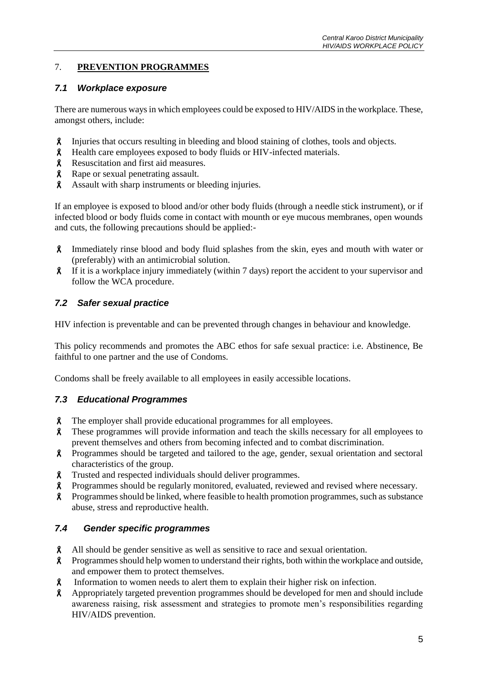# 7. **PREVENTION PROGRAMMES**

#### *7.1 Workplace exposure*

There are numerous ways in which employees could be exposed to HIV/AIDS in the workplace. These, amongst others, include:

- Injuries that occurs resulting in bleeding and blood staining of clothes, tools and objects.
- Health care employees exposed to body fluids or HIV-infected materials.
- **8** Resuscitation and first aid measures.
- **8** Rape or sexual penetrating assault.
- Assault with sharp instruments or bleeding injuries.

If an employee is exposed to blood and/or other body fluids (through a needle stick instrument), or if infected blood or body fluids come in contact with mounth or eye mucous membranes, open wounds and cuts, the following precautions should be applied:-

- Immediately rinse blood and body fluid splashes from the skin, eyes and mouth with water or (preferably) with an antimicrobial solution.
- If it is a workplace injury immediately (within 7 days) report the accident to your supervisor and follow the WCA procedure.

# *7.2 Safer sexual practice*

HIV infection is preventable and can be prevented through changes in behaviour and knowledge.

This policy recommends and promotes the ABC ethos for safe sexual practice: i.e. Abstinence, Be faithful to one partner and the use of Condoms.

Condoms shall be freely available to all employees in easily accessible locations.

# *7.3 Educational Programmes*

- The employer shall provide educational programmes for all employees.
- These programmes will provide information and teach the skills necessary for all employees to prevent themselves and others from becoming infected and to combat discrimination.
- **8** Programmes should be targeted and tailored to the age, gender, sexual orientation and sectoral characteristics of the group.
- Trusted and respected individuals should deliver programmes.
- Programmes should be regularly monitored, evaluated, reviewed and revised where necessary.
- Programmes should be linked, where feasible to health promotion programmes, such as substance abuse, stress and reproductive health.

# *7.4 Gender specific programmes*

- All should be gender sensitive as well as sensitive to race and sexual orientation.
- Programmes should help women to understand their rights, both within the workplace and outside, and empower them to protect themselves.
- Information to women needs to alert them to explain their higher risk on infection.
- Appropriately targeted prevention programmes should be developed for men and should include awareness raising, risk assessment and strategies to promote men's responsibilities regarding HIV/AIDS prevention.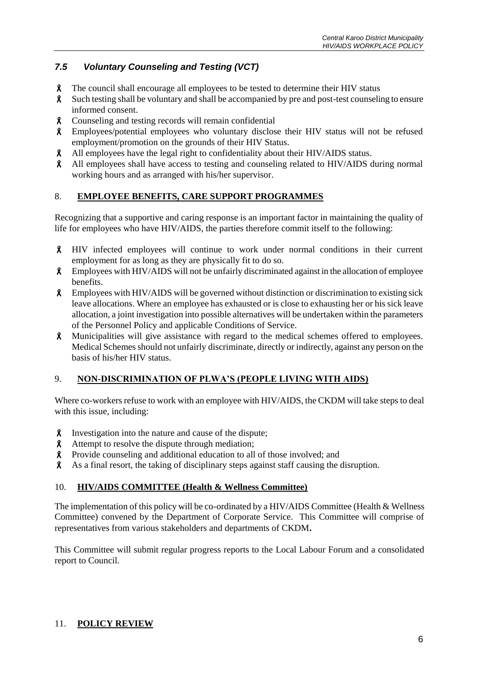# *7.5 Voluntary Counseling and Testing (VCT)*

- The council shall encourage all employees to be tested to determine their HIV status
- Such testing shall be voluntary and shall be accompanied by pre and post-test counseling to ensure informed consent.
- Counseling and testing records will remain confidential
- Employees/potential employees who voluntary disclose their HIV status will not be refused employment/promotion on the grounds of their HIV Status.
- All employees have the legal right to confidentiality about their HIV/AIDS status.
- All employees shall have access to testing and counseling related to HIV/AIDS during normal working hours and as arranged with his/her supervisor.

# 8. **EMPLOYEE BENEFITS, CARE SUPPORT PROGRAMMES**

Recognizing that a supportive and caring response is an important factor in maintaining the quality of life for employees who have HIV/AIDS, the parties therefore commit itself to the following:

- HIV infected employees will continue to work under normal conditions in their current employment for as long as they are physically fit to do so.
- Employees with HIV/AIDS will not be unfairly discriminated against in the allocation of employee benefits.
- **8** Employees with HIV/AIDS will be governed without distinction or discrimination to existing sick leave allocations. Where an employee has exhausted or is close to exhausting her or his sick leave allocation, a joint investigation into possible alternatives will be undertaken within the parameters of the Personnel Policy and applicable Conditions of Service.
- Municipalities will give assistance with regard to the medical schemes offered to employees. Medical Schemes should not unfairly discriminate, directly or indirectly, against any person on the basis of his/her HIV status.

# 9. **NON-DISCRIMINATION OF PLWA'S (PEOPLE LIVING WITH AIDS)**

Where co-workers refuse to work with an employee with HIV/AIDS, the CKDM will take steps to deal with this issue, including:

- **8** Investigation into the nature and cause of the dispute;
- **A** Attempt to resolve the dispute through mediation;
- Provide counseling and additional education to all of those involved; and
- As a final resort, the taking of disciplinary steps against staff causing the disruption.

#### 10. **HIV/AIDS COMMITTEE (Health & Wellness Committee)**

The implementation of this policy will be co-ordinated by a HIV/AIDS Committee (Health & Wellness Committee) convened by the Department of Corporate Service. This Committee will comprise of representatives from various stakeholders and departments of CKDM**.**

This Committee will submit regular progress reports to the Local Labour Forum and a consolidated report to Council.

# 11. **POLICY REVIEW**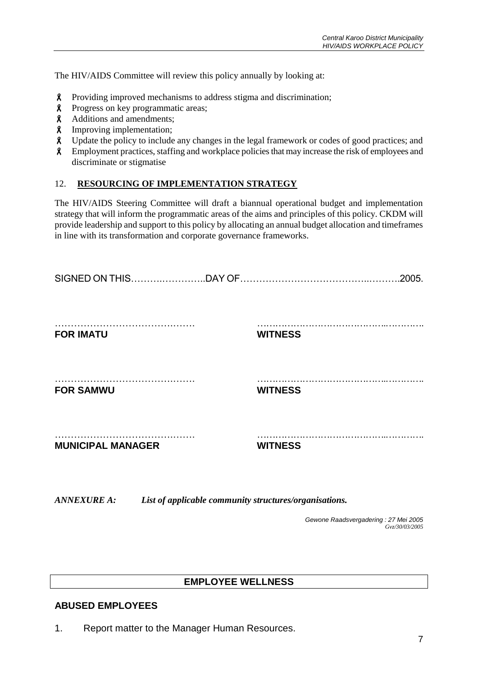The HIV/AIDS Committee will review this policy annually by looking at:

- Providing improved mechanisms to address stigma and discrimination;
- **8** Progress on key programmatic areas;
- Additions and amendments;
- Improving implementation;
- Update the policy to include any changes in the legal framework or codes of good practices; and
- Employment practices, staffing and workplace policies that may increase the risk of employees and discriminate or stigmatise

#### 12. **RESOURCING OF IMPLEMENTATION STRATEGY**

The HIV/AIDS Steering Committee will draft a biannual operational budget and implementation strategy that will inform the programmatic areas of the aims and principles of this policy. CKDM will provide leadership and support to this policy by allocating an annual budget allocation and timeframes in line with its transformation and corporate governance frameworks.

| <b>FOR IMATU</b>         | <b>WITNESS</b> |  |
|--------------------------|----------------|--|
| <b>FOR SAMWU</b>         | <b>WITNESS</b> |  |
| <b>MUNICIPAL MANAGER</b> | <b>WITNESS</b> |  |

*ANNEXURE A: List of applicable community structures/organisations.*

*Gewone Raadsvergadering : 27 Mei 2005 Gvz/30/03/2005*

# **EMPLOYEE WELLNESS**

# **ABUSED EMPLOYEES**

1. Report matter to the Manager Human Resources.